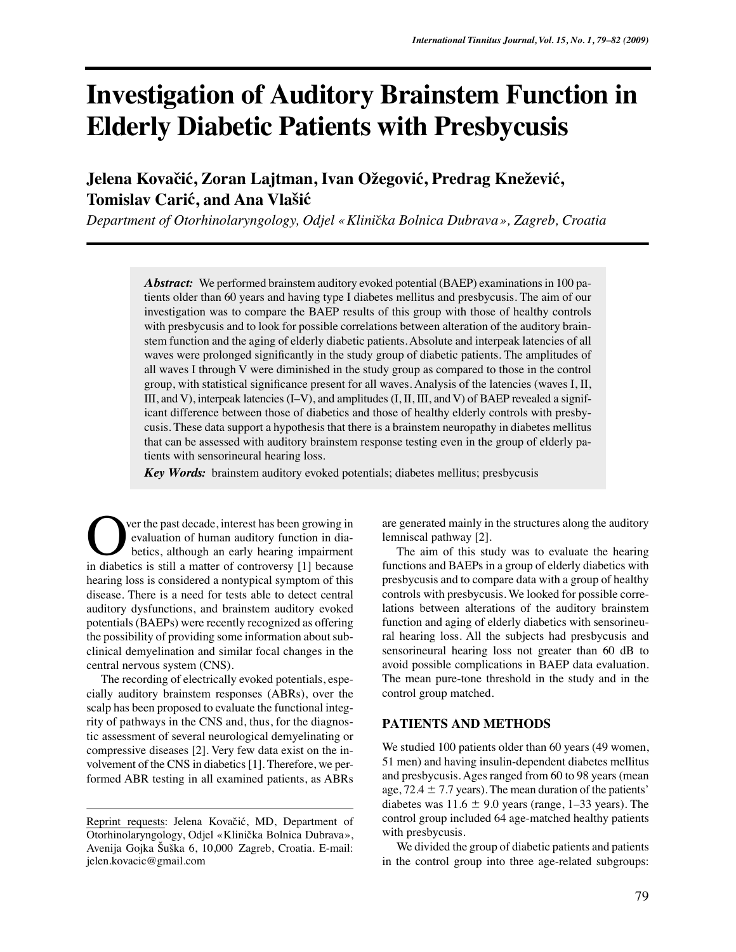# **Investigation of Auditory Brainstem Function in Elderly Diabetic Patients with Presbycusis**

# Jelena Kovačić, Zoran Lajtman, Ivan Ožegović, Predrag Knežević,  $T$ omislav Carić, and Ana Vlašić

Department of Otorhinolaryngology, Odjel « Klinička Bolnica Dubrava », Zagreb, Croatia

*Abstract:* We performed brainstem auditory evoked potential (BAEP) examinations in 100 patients older than 60 years and having type I diabetes mellitus and presbycusis. The aim of our investigation was to compare the BAEP results of this group with those of healthy controls with presbycusis and to look for possible correlations between alteration of the auditory brainstem function and the aging of elderly diabetic patients. Absolute and interpeak latencies of all waves were prolonged significantly in the study group of diabetic patients. The amplitudes of all waves I through V were diminished in the study group as compared to those in the control group, with statistical significance present for all waves. Analysis of the latencies (waves I, II, III, and V), interpeak latencies (I–V), and amplitudes (I, II, III, and V) of BAEP revealed a significant difference between those of diabetics and those of healthy elderly controls with presbycusis. These data support a hypothesis that there is a brainstem neuropathy in diabetes mellitus that can be assessed with auditory brainstem response testing even in the group of elderly patients with sensorineural hearing loss.

*Key Words:* brainstem auditory evoked potentials; diabetes mellitus; presbycusis

ver the past decade, interest has been growing in evaluation of human auditory function in diabetics, although an early hearing impairment **CO** ver the past decade, interest has been growing in evaluation of human auditory function in diabetics, although an early hearing impairment in diabetics is still a matter of controversy [1] because hearing loss is considered a nontypical symptom of this disease. There is a need for tests able to detect central auditory dysfunctions, and brainstem auditory evoked potentials (BAEPs) were recently recognized as offering the possibility of providing some information about subclinical demyelination and similar focal changes in the central nervous system (CNS).

The recording of electrically evoked potentials, especially auditory brainstem responses (ABRs), over the scalp has been proposed to evaluate the functional integrity of pathways in the CNS and, thus, for the diagnostic assessment of several neurological demyelinating or compressive diseases [2]. Very few data exist on the involvement of the CNS in diabetics [1]. Therefore, we performed ABR testing in all examined patients, as ABRs are generated mainly in the structures along the auditory lemniscal pathway [2].

The aim of this study was to evaluate the hearing functions and BAEPs in a group of elderly diabetics with presbycusis and to compare data with a group of healthy controls with presbycusis. We looked for possible correlations between alterations of the auditory brainstem function and aging of elderly diabetics with sensorineural hearing loss. All the subjects had presbycusis and sensorineural hearing loss not greater than 60 dB to avoid possible complications in BAEP data evaluation. The mean pure-tone threshold in the study and in the control group matched.

## **PATIENTS AND METHODS**

We studied 100 patients older than 60 years (49 women, 51 men) and having insulin-dependent diabetes mellitus and presbycusis. Ages ranged from 60 to 98 years (mean age,  $72.4 \pm 7.7$  years). The mean duration of the patients' diabetes was  $11.6 \pm 9.0$  years (range, 1–33 years). The control group included 64 age-matched healthy patients with presbycusis.

We divided the group of diabetic patients and patients in the control group into three age-related subgroups:

Reprint requests: Jelena Kovačić, MD, Department of Otorhinolaryngology, Odjel «Klinička Bolnica Dubrava», Avenija Gojka Šuška 6, 10,000 Zagreb, Croatia. E-mail: jelen.kovacic@gmail.com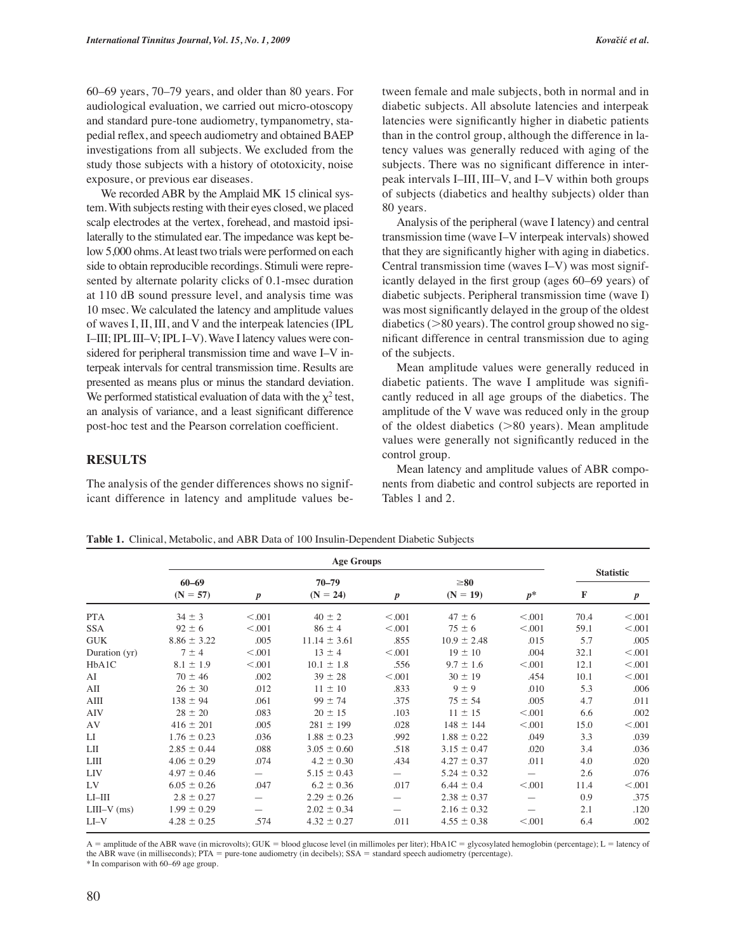60–69 years, 70–79 years, and older than 80 years. For audiological evaluation, we carried out micro-otoscopy and standard pure-tone audiometry, tympanometry, stapedial reflex, and speech audiometry and obtained BAEP investigations from all subjects. We excluded from the study those subjects with a history of ototoxicity, noise exposure, or previous ear diseases.

We recorded ABR by the Amplaid MK 15 clinical system. With subjects resting with their eyes closed, we placed scalp electrodes at the vertex, forehead, and mastoid ipsilaterally to the stimulated ear. The impedance was kept below 5,000 ohms. At least two trials were performed on each side to obtain reproducible recordings. Stimuli were represented by alternate polarity clicks of 0.1-msec duration at 110 dB sound pressure level, and analysis time was 10 msec. We calculated the latency and amplitude values of waves I, II, III, and V and the interpeak latencies (IPL I–III; IPL III–V; IPL I–V). Wave I latency values were considered for peripheral transmission time and wave I–V interpeak intervals for central transmission time. Results are presented as means plus or minus the standard deviation. We performed statistical evaluation of data with the  $\chi^2$  test, an analysis of variance, and a least significant difference post-hoc test and the Pearson correlation coefficient.

## **RESULTS**

The analysis of the gender differences shows no significant difference in latency and amplitude values between female and male subjects, both in normal and in diabetic subjects. All absolute latencies and interpeak latencies were significantly higher in diabetic patients than in the control group, although the difference in latency values was generally reduced with aging of the subjects. There was no significant difference in interpeak intervals I–III, III–V, and I–V within both groups of subjects (diabetics and healthy subjects) older than 80 years.

Analysis of the peripheral (wave I latency) and central transmission time (wave I–V interpeak intervals) showed that they are significantly higher with aging in diabetics. Central transmission time (waves I–V) was most significantly delayed in the first group (ages 60–69 years) of diabetic subjects. Peripheral transmission time (wave I) was most significantly delayed in the group of the oldest diabetics  $(>80$  years). The control group showed no significant difference in central transmission due to aging of the subjects.

Mean amplitude values were generally reduced in diabetic patients. The wave I amplitude was significantly reduced in all age groups of the diabetics. The amplitude of the V wave was reduced only in the group of the oldest diabetics  $($ >80 years). Mean amplitude values were generally not significantly reduced in the control group.

Mean latency and amplitude values of ABR components from diabetic and control subjects are reported in Tables 1 and 2.

**Table 1.** Clinical, Metabolic, and ABR Data of 100 Insulin-Dependent Diabetic Subjects

|               | <b>Age Groups</b> |                  |                  |                          |                 |         |                  |                  |
|---------------|-------------------|------------------|------------------|--------------------------|-----------------|---------|------------------|------------------|
|               | $60 - 69$         |                  | $70 - 79$        |                          | $\geq 80$       |         | <b>Statistic</b> |                  |
|               | $(N = 57)$        | $\boldsymbol{p}$ | $(N = 24)$       | $\boldsymbol{p}$         | $(N = 19)$      | $p^*$   | F                | $\boldsymbol{p}$ |
| <b>PTA</b>    | $34 \pm 3$        | < 0.001          | $40 \pm 2$       | < 0.001                  | $47 \pm 6$      | < 0.001 | 70.4             | < 0.001          |
| <b>SSA</b>    | $92 \pm 6$        | < 0.001          | $86 \pm 4$       | < 0.001                  | $75 \pm 6$      | < 0.001 | 59.1             | < 0.001          |
| <b>GUK</b>    | $8.86 \pm 3.22$   | .005             | $11.14 \pm 3.61$ | .855                     | $10.9 \pm 2.48$ | .015    | 5.7              | .005             |
| Duration (yr) | $7 \pm 4$         | < 0.001          | $13 \pm 4$       | < 0.001                  | $19 \pm 10$     | .004    | 32.1             | < 0.001          |
| HbA1C         | $8.1 \pm 1.9$     | < 0.001          | $10.1 \pm 1.8$   | .556                     | $9.7 \pm 1.6$   | < 0.001 | 12.1             | < 0.001          |
| AI            | $70 \pm 46$       | .002             | $39 \pm 28$      | < 0.001                  | $30 \pm 19$     | .454    | 10.1             | < 0.001          |
| AП            | $26 \pm 30$       | .012             | $11 \pm 10$      | .833                     | $9 \pm 9$       | .010    | 5.3              | .006             |
| AIII          | $138 \pm 94$      | .061             | $99 \pm 74$      | .375                     | $75 \pm 54$     | .005    | 4.7              | .011             |
| <b>AIV</b>    | $28 \pm 20$       | .083             | $20 \pm 15$      | .103                     | $11 \pm 15$     | < 0.001 | 6.6              | .002             |
| AV            | $416 \pm 201$     | .005             | $281 \pm 199$    | .028                     | $148 \pm 144$   | < 0.001 | 15.0             | < 0.001          |
| LI            | $1.76 \pm 0.23$   | .036             | $1.88 \pm 0.23$  | .992                     | $1.88 \pm 0.22$ | .049    | 3.3              | .039             |
| LП            | $2.85 \pm 0.44$   | .088             | $3.05 \pm 0.60$  | .518                     | $3.15 \pm 0.47$ | .020    | 3.4              | .036             |
| LIII          | $4.06 \pm 0.29$   | .074             | $4.2 \pm 0.30$   | .434                     | $4.27 \pm 0.37$ | .011    | 4.0              | .020             |
| <b>LIV</b>    | $4.97 \pm 0.46$   |                  | $5.15 \pm 0.43$  | $\overline{\phantom{0}}$ | $5.24 \pm 0.32$ |         | 2.6              | .076             |
| LV            | $6.05 \pm 0.26$   | .047             | $6.2 \pm 0.36$   | .017                     | $6.44 \pm 0.4$  | < 0.001 | 11.4             | < 0.001          |
| $LI$ - $III$  | $2.8 \pm 0.27$    |                  | $2.29 \pm 0.26$  |                          | $2.38 \pm 0.37$ |         | 0.9              | .375             |
| $LIII-V$ (ms) | $1.99 \pm 0.29$   |                  | $2.02 \pm 0.34$  | —                        | $2.16 \pm 0.32$ |         | 2.1              | .120             |
| $LI-V$        | $4.28 \pm 0.25$   | .574             | $4.32 \pm 0.27$  | .011                     | $4.55 \pm 0.38$ | < 0.001 | 6.4              | .002             |

 $A =$  amplitude of the ABR wave (in microvolts); GUK = blood glucose level (in millimoles per liter); HbA1C = glycosylated hemoglobin (percentage); L = latency of the ABR wave (in milliseconds); PTA = pure-tone audiometry (in decibels); SSA = standard speech audiometry (percentage).

\* In comparison with 60–69 age group.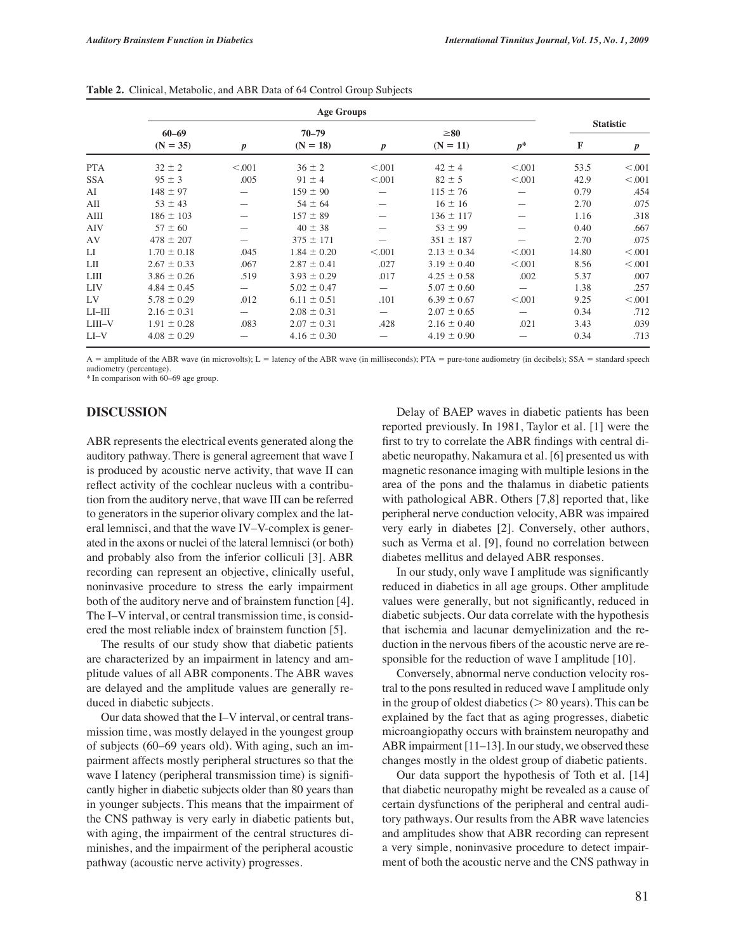|              | <b>Age Groups</b> |                  |                 |                  |                 |         |                  |                  |
|--------------|-------------------|------------------|-----------------|------------------|-----------------|---------|------------------|------------------|
|              | $60 - 69$         |                  | $70 - 79$       |                  | $\geq 80$       |         | <b>Statistic</b> |                  |
|              | $(N = 35)$        | $\boldsymbol{p}$ | $(N = 18)$      | $\boldsymbol{p}$ | $(N = 11)$      | $p^*$   | F                | $\boldsymbol{p}$ |
| <b>PTA</b>   | $32 \pm 2$        | < 0.001          | $36 \pm 2$      | < 0.001          | $42 \pm 4$      | < 0.001 | 53.5             | < 0.001          |
| <b>SSA</b>   | $95 \pm 3$        | .005             | $91 \pm 4$      | < 0.001          | $82 \pm 5$      | < 0.001 | 42.9             | < 0.001          |
| AI           | $148 \pm 97$      |                  | $159 \pm 90$    |                  | $115 \pm 76$    |         | 0.79             | .454             |
| AII          | $53 \pm 43$       |                  | $54 \pm 64$     |                  | $16 \pm 16$     |         | 2.70             | .075             |
| AIII         | $186 \pm 103$     |                  | $157 \pm 89$    |                  | $136 \pm 117$   |         | 1.16             | .318             |
| <b>AIV</b>   | $57 \pm 60$       |                  | $40 \pm 38$     |                  | $53 \pm 99$     |         | 0.40             | .667             |
| AV           | $478 \pm 207$     |                  | $375 \pm 171$   |                  | $351 \pm 187$   |         | 2.70             | .075             |
| $_{\rm LI}$  | $1.70 \pm 0.18$   | .045             | $1.84 \pm 0.20$ | < 0.001          | $2.13 \pm 0.34$ | < 0.001 | 14.80            | < 0.001          |
| LП           | $2.67 \pm 0.33$   | .067             | $2.87 \pm 0.41$ | .027             | $3.19 \pm 0.40$ | < 0.001 | 8.56             | < 0.001          |
| LШ           | $3.86 \pm 0.26$   | .519             | $3.93 \pm 0.29$ | .017             | $4.25 \pm 0.58$ | .002    | 5.37             | .007             |
| <b>LIV</b>   | $4.84 \pm 0.45$   |                  | $5.02 \pm 0.47$ |                  | $5.07 \pm 0.60$ |         | 1.38             | .257             |
| LV           | $5.78 \pm 0.29$   | .012             | $6.11 \pm 0.51$ | .101             | $6.39 \pm 0.67$ | < 0.001 | 9.25             | < 0.001          |
| $LI$ - $III$ | $2.16 \pm 0.31$   |                  | $2.08 \pm 0.31$ |                  | $2.07 \pm 0.65$ |         | 0.34             | .712             |
| LIII-V       | $1.91 \pm 0.28$   | .083             | $2.07 \pm 0.31$ | .428             | $2.16 \pm 0.40$ | .021    | 3.43             | .039             |
| $LI-V$       | $4.08 \pm 0.29$   |                  | $4.16 \pm 0.30$ |                  | $4.19 \pm 0.90$ |         | 0.34             | .713             |

**Table 2.** Clinical, Metabolic, and ABR Data of 64 Control Group Subjects

 $A =$  amplitude of the ABR wave (in microvolts);  $L =$  latency of the ABR wave (in milliseconds); PTA = pure-tone audiometry (in decibels); SSA = standard speech audiometry (percentage).

\* In comparison with 60–69 age group.

#### **DISCUSSION**

ABR represents the electrical events generated along the auditory pathway. There is general agreement that wave I is produced by acoustic nerve activity, that wave II can reflect activity of the cochlear nucleus with a contribution from the auditory nerve, that wave III can be referred to generators in the superior olivary complex and the lateral lemnisci, and that the wave IV–V-complex is generated in the axons or nuclei of the lateral lemnisci (or both) and probably also from the inferior colliculi [3]. ABR recording can represent an objective, clinically useful, noninvasive procedure to stress the early impairment both of the auditory nerve and of brainstem function [4]. The I–V interval, or central transmission time, is considered the most reliable index of brainstem function [5].

The results of our study show that diabetic patients are characterized by an impairment in latency and amplitude values of all ABR components. The ABR waves are delayed and the amplitude values are generally reduced in diabetic subjects.

Our data showed that the I–V interval, or central transmission time, was mostly delayed in the youngest group of subjects (60–69 years old). With aging, such an impairment affects mostly peripheral structures so that the wave I latency (peripheral transmission time) is significantly higher in diabetic subjects older than 80 years than in younger subjects. This means that the impairment of the CNS pathway is very early in diabetic patients but, with aging, the impairment of the central structures diminishes, and the impairment of the peripheral acoustic pathway (acoustic nerve activity) progresses.

Delay of BAEP waves in diabetic patients has been reported previously. In 1981, Taylor et al. [1] were the first to try to correlate the ABR findings with central diabetic neuropathy. Nakamura et al. [6] presented us with magnetic resonance imaging with multiple lesions in the area of the pons and the thalamus in diabetic patients with pathological ABR. Others [7,8] reported that, like peripheral nerve conduction velocity, ABR was impaired very early in diabetes [2]. Conversely, other authors, such as Verma et al. [9], found no correlation between diabetes mellitus and delayed ABR responses.

In our study, only wave I amplitude was significantly reduced in diabetics in all age groups. Other amplitude values were generally, but not significantly, reduced in diabetic subjects. Our data correlate with the hypothesis that ischemia and lacunar demyelinization and the reduction in the nervous fibers of the acoustic nerve are responsible for the reduction of wave I amplitude [10].

Conversely, abnormal nerve conduction velocity rostral to the pons resulted in reduced wave I amplitude only in the group of oldest diabetics ( $> 80$  years). This can be explained by the fact that as aging progresses, diabetic microangiopathy occurs with brainstem neuropathy and ABR impairment [11–13]. In our study, we observed these changes mostly in the oldest group of diabetic patients.

Our data support the hypothesis of Toth et al. [14] that diabetic neuropathy might be revealed as a cause of certain dysfunctions of the peripheral and central auditory pathways. Our results from the ABR wave latencies and amplitudes show that ABR recording can represent a very simple, noninvasive procedure to detect impairment of both the acoustic nerve and the CNS pathway in